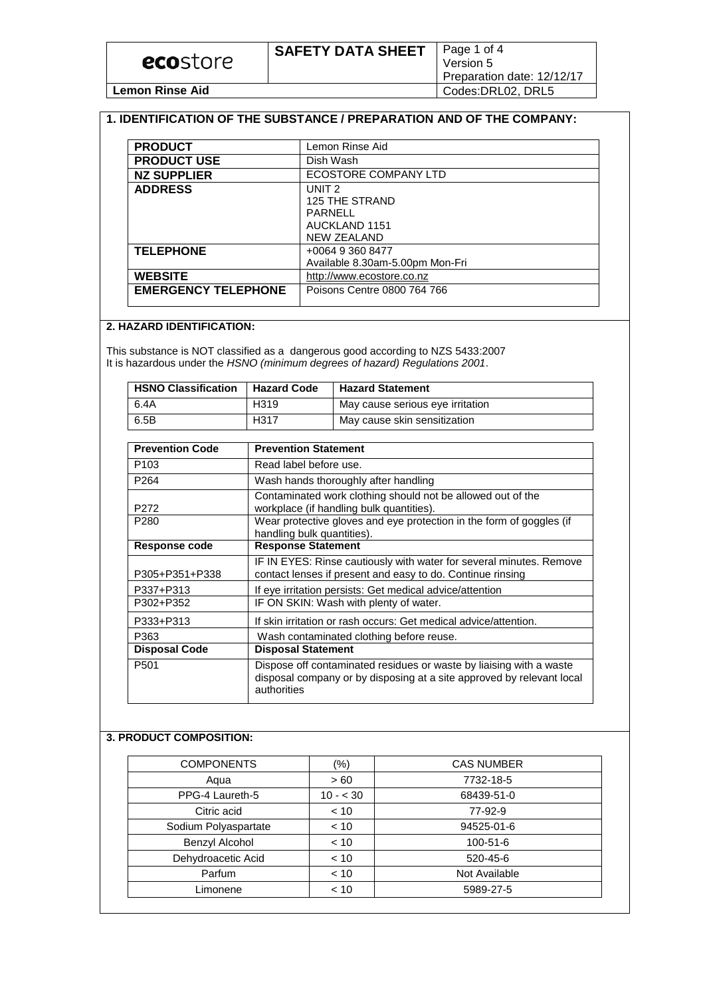### **1. IDENTIFICATION OF THE SUBSTANCE / PREPARATION AND OF THE COMPANY:**

| <b>PRODUCT</b>             | Lemon Rinse Aid                 |
|----------------------------|---------------------------------|
| <b>PRODUCT USE</b>         | Dish Wash                       |
| <b>NZ SUPPLIER</b>         | ECOSTORE COMPANY LTD            |
| <b>ADDRESS</b>             | UNIT <sub>2</sub>               |
|                            | <b>125 THE STRAND</b>           |
|                            | PARNELL                         |
|                            | AUCKLAND 1151                   |
|                            | <b>NEW ZEALAND</b>              |
| <b>TELEPHONE</b>           | +0064 9 360 8477                |
|                            | Available 8.30am-5.00pm Mon-Fri |
| <b>WEBSITE</b>             | http://www.ecostore.co.nz       |
| <b>EMERGENCY TELEPHONE</b> | Poisons Centre 0800 764 766     |
|                            |                                 |

## **2. HAZARD IDENTIFICATION:**

This substance is NOT classified as a dangerous good according to NZS 5433:2007 It is hazardous under the *HSNO (minimum degrees of hazard) Regulations 2001*.

| <b>HSNO Classification</b> | <b>Hazard Code</b> | <b>Hazard Statement</b>          |
|----------------------------|--------------------|----------------------------------|
| 6.4A                       | H319               | May cause serious eye irritation |
| 6.5B                       | H <sub>317</sub>   | May cause skin sensitization     |

| <b>Prevention Code</b> | <b>Prevention Statement</b>                                                                                                                                 |
|------------------------|-------------------------------------------------------------------------------------------------------------------------------------------------------------|
| P <sub>103</sub>       | Read label before use.                                                                                                                                      |
| P <sub>264</sub>       | Wash hands thoroughly after handling                                                                                                                        |
| P272                   | Contaminated work clothing should not be allowed out of the<br>workplace (if handling bulk quantities).                                                     |
| P <sub>280</sub>       | Wear protective gloves and eye protection in the form of goggles (if<br>handling bulk quantities).                                                          |
| Response code          | <b>Response Statement</b>                                                                                                                                   |
| P305+P351+P338         | IF IN EYES: Rinse cautiously with water for several minutes. Remove<br>contact lenses if present and easy to do. Continue rinsing                           |
| P337+P313              | If eye irritation persists: Get medical advice/attention                                                                                                    |
| P302+P352              | IF ON SKIN: Wash with plenty of water.                                                                                                                      |
| P333+P313              | If skin irritation or rash occurs: Get medical advice/attention.                                                                                            |
| P363                   | Wash contaminated clothing before reuse.                                                                                                                    |
| <b>Disposal Code</b>   | <b>Disposal Statement</b>                                                                                                                                   |
| P <sub>501</sub>       | Dispose off contaminated residues or waste by liaising with a waste<br>disposal company or by disposing at a site approved by relevant local<br>authorities |

# **3. PRODUCT COMPOSITION:**

| <b>COMPONENTS</b>    | $(\%)$    | <b>CAS NUMBER</b> |
|----------------------|-----------|-------------------|
| Aqua                 | > 60      | 7732-18-5         |
| PPG-4 Laureth-5      | $10 - 30$ | 68439-51-0        |
| Citric acid          | < 10      | 77-92-9           |
| Sodium Polyaspartate | < 10      | 94525-01-6        |
| Benzyl Alcohol       | < 10      | 100-51-6          |
| Dehydroacetic Acid   | < 10      | 520-45-6          |
| Parfum               | < 10      | Not Available     |
| Limonene             | < 10      | 5989-27-5         |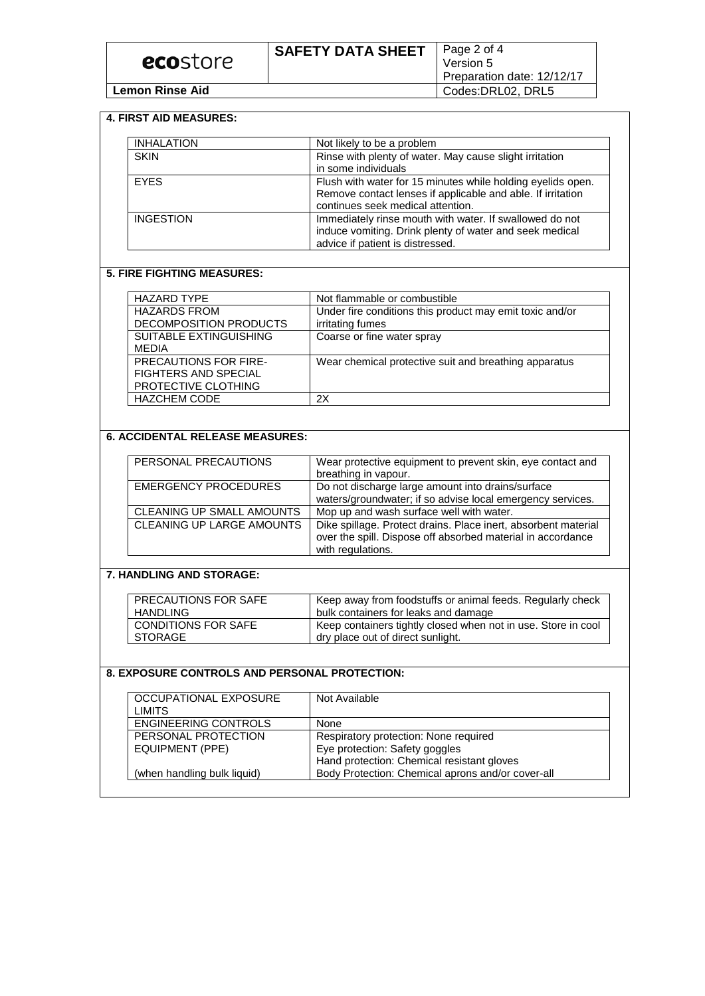## **4. FIRST AID MEASURES:**

| <b>INHALATION</b> | Not likely to be a problem                                                                                                                                      |
|-------------------|-----------------------------------------------------------------------------------------------------------------------------------------------------------------|
| <b>SKIN</b>       | Rinse with plenty of water. May cause slight irritation<br>in some individuals                                                                                  |
| <b>EYES</b>       | Flush with water for 15 minutes while holding eyelids open.<br>Remove contact lenses if applicable and able. If irritation<br>continues seek medical attention. |
| INGESTION         | Immediately rinse mouth with water. If swallowed do not<br>induce vomiting. Drink plenty of water and seek medical<br>advice if patient is distressed.          |

## **5. FIRE FIGHTING MEASURES:**

| <b>HAZARD TYPE</b>            | Not flammable or combustible                             |
|-------------------------------|----------------------------------------------------------|
| <b>HAZARDS FROM</b>           | Under fire conditions this product may emit toxic and/or |
| DECOMPOSITION PRODUCTS        | irritating fumes                                         |
| <b>SUITABLE EXTINGUISHING</b> | Coarse or fine water spray                               |
| <b>MEDIA</b>                  |                                                          |
| <b>PRECAUTIONS FOR FIRE-</b>  | Wear chemical protective suit and breathing apparatus    |
| <b>FIGHTERS AND SPECIAL</b>   |                                                          |
| PROTECTIVE CLOTHING           |                                                          |
| <b>HAZCHEM CODE</b>           | 2X                                                       |

## **6. ACCIDENTAL RELEASE MEASURES:**

| PERSONAL PRECAUTIONS      | Wear protective equipment to prevent skin, eye contact and<br>breathing in vapour.                                                                 |
|---------------------------|----------------------------------------------------------------------------------------------------------------------------------------------------|
| EMERGENCY PROCEDURES      | Do not discharge large amount into drains/surface<br>waters/groundwater; if so advise local emergency services.                                    |
| CLEANING UP SMALL AMOUNTS | Mop up and wash surface well with water.                                                                                                           |
| CLEANING UP LARGE AMOUNTS | Dike spillage. Protect drains. Place inert, absorbent material<br>over the spill. Dispose off absorbed material in accordance<br>with regulations. |

# **7. HANDLING AND STORAGE:**

| <b>PRECAUTIONS FOR SAFE</b> | Keep away from foodstuffs or animal feeds. Regularly check    |
|-----------------------------|---------------------------------------------------------------|
| <b>HANDLING</b>             | bulk containers for leaks and damage                          |
| I CONDITIONS FOR SAFE       | Keep containers tightly closed when not in use. Store in cool |
| I STORAGE                   | dry place out of direct sunlight.                             |

## **8. EXPOSURE CONTROLS AND PERSONAL PROTECTION:**

| OCCUPATIONAL EXPOSURE<br><b>LIMITS</b> | Not Available                                     |
|----------------------------------------|---------------------------------------------------|
| <b>ENGINEERING CONTROLS</b>            | None                                              |
| PERSONAL PROTECTION                    | Respiratory protection: None required             |
| EQUIPMENT (PPE)                        | Eye protection: Safety goggles                    |
|                                        | Hand protection: Chemical resistant gloves        |
| (when handling bulk liquid)            | Body Protection: Chemical aprons and/or cover-all |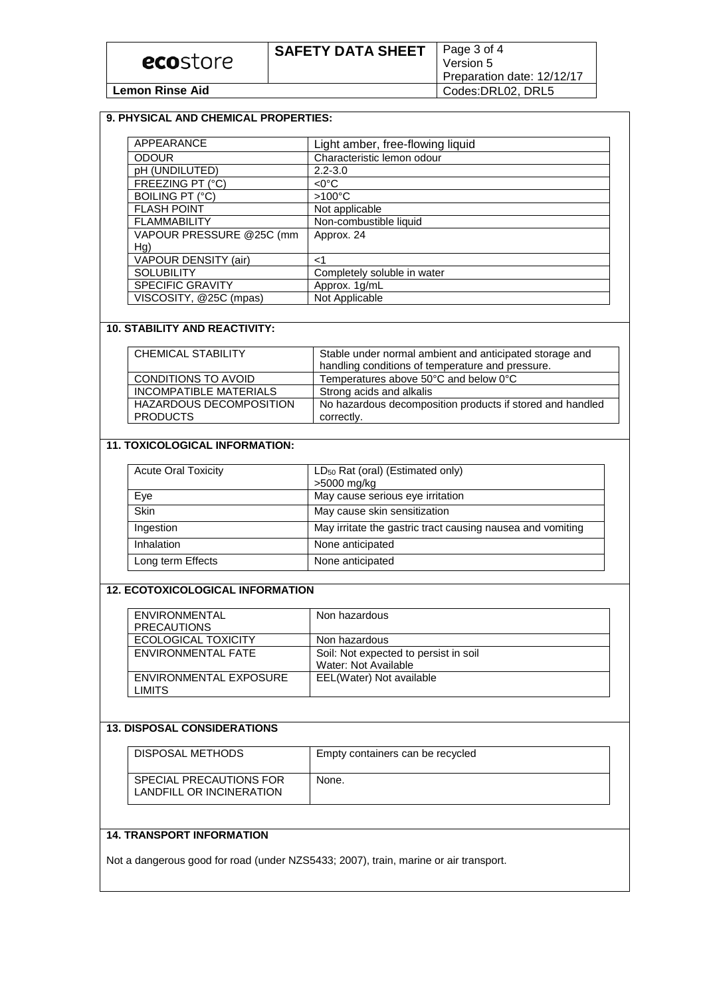#### **9. PHYSICAL AND CHEMICAL PROPERTIES:** APPEARANCE Light amber, free-flowing liquid<br>
ODOUR
Characteristic lemon odour Characteristic lemon odour pH (UNDILUTED) 2.2-3.0 FREEZING PT (°C) <0 °C BOILING PT (°C) >100°C FLASH POINT Not applicable FLAMMABILITY | Non-combustible liquid VAPOUR PRESSURE @25C (mm Hg) Approx. 24 VAPOUR DENSITY (air) | <1 SOLUBILITY Completely soluble in water SPECIFIC GRAVITY | Approx. 1g/mL

### **10. STABILITY AND REACTIVITY:**

VISCOSITY, @25C (mpas) | Not Applicable

| <b>CHEMICAL STABILITY</b>             | Stable under normal ambient and anticipated storage and<br>handling conditions of temperature and pressure. |  |
|---------------------------------------|-------------------------------------------------------------------------------------------------------------|--|
| <b>CONDITIONS TO AVOID</b>            | Temperatures above 50°C and below 0°C                                                                       |  |
| INCOMPATIBLE MATERIALS                | Strong acids and alkalis                                                                                    |  |
| HAZARDOUS DECOMPOSITION<br>I PRODUCTS | No hazardous decomposition products if stored and handled<br>correctly.                                     |  |

## **11. TOXICOLOGICAL INFORMATION:**

| <b>Acute Oral Toxicity</b> | LD <sub>50</sub> Rat (oral) (Estimated only)<br>>5000 mg/kg |  |
|----------------------------|-------------------------------------------------------------|--|
| Eye                        | May cause serious eye irritation                            |  |
| <b>Skin</b>                | May cause skin sensitization                                |  |
| Ingestion                  | May irritate the gastric tract causing nausea and vomiting  |  |
| Inhalation                 | None anticipated                                            |  |
| Long term Effects          | None anticipated                                            |  |

## **12. ECOTOXICOLOGICAL INFORMATION**

| <b>ENVIRONMENTAL</b>   | Non hazardous                         |
|------------------------|---------------------------------------|
| <b>PRECAUTIONS</b>     |                                       |
| ECOLOGICAL TOXICITY    | Non hazardous                         |
| ENVIRONMENTAL FATE     | Soil: Not expected to persist in soil |
|                        | Water: Not Available                  |
| ENVIRONMENTAL EXPOSURE | EEL(Water) Not available              |
| LIMITS                 |                                       |

#### **13. DISPOSAL CONSIDERATIONS**

| DISPOSAL METHODS                                    | Empty containers can be recycled |
|-----------------------------------------------------|----------------------------------|
| SPECIAL PRECAUTIONS FOR<br>LANDFILL OR INCINERATION | None.                            |

# **14. TRANSPORT INFORMATION**

Not a dangerous good for road (under NZS5433; 2007), train, marine or air transport.